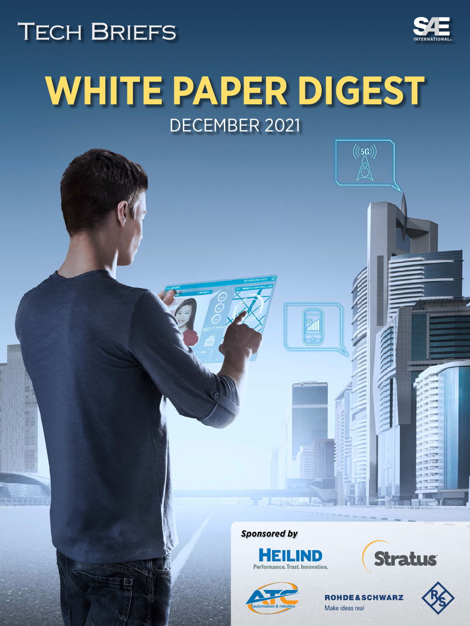# <span id="page-0-0"></span>**TECH BRIEFS**

ROHDE&SCHWARZ

 $\overline{M}$ 



# **WHITE PAPER DIGEST** DECEMBER 2021

*Sponsored by*



 $\frac{56}{41}$ 







 $((5G))$ 

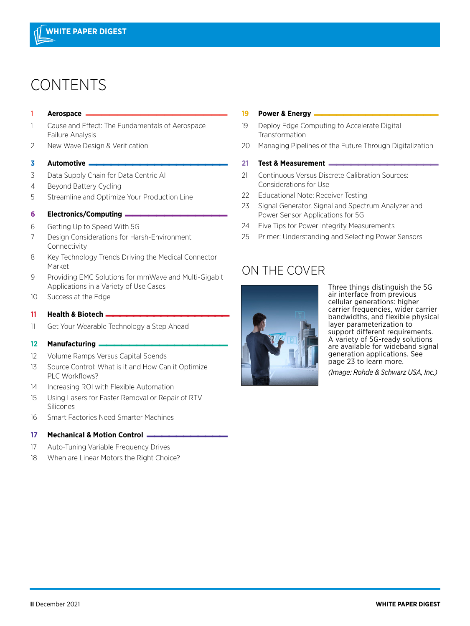## CONTENTS

## **<sup>1</sup> Aerospace \_\_\_\_\_\_\_\_\_\_\_\_\_\_\_\_\_\_**

- [1 Cause and Effect: The Fundamentals of Aerospace](#page-0-0) Failure Analysis
- 2 [New Wave Design & Verification](#page-0-0)

#### **<sup>3</sup> [Automotive \\_\\_\\_\\_\\_\\_\\_\\_\\_\\_\\_\\_\\_\\_\\_\\_\\_\\_\\_](#page-2-0)**

- 3 Data Supply Chain for Data Centric AI
- [4 Beyond Battery Cycling](#page-0-0)
- 5 [Streamline and Optimize Your Production Line](#page-0-0)

#### **<sup>6</sup> Electronics/Computing \_\_\_\_\_\_\_\_\_\_\_\_\_**

- 6 [Getting Up to Speed With 5G](#page-0-0)
- [7 Design Considerations for Harsh-Environment](#page-0-0)  Connectivity
- [8 Key Technology Trends Driving the Medical Connector](#page-0-0)  Market
- [9 Providing EMC Solutions for mmWave and Multi-Gigabit](#page-0-0)  Applications in a Variety of Use Cases
- [10 Success at the Edge](#page-0-0)

#### **11 Health & Biotech \_\_\_\_\_\_\_\_\_\_\_\_\_\_\_\_\_\_**

11 [Get Your Wearable Technology a Step Ahead](#page-0-0)

#### **<sup>12</sup> Manufacturing [\\_\\_\\_\\_\\_\\_\\_\\_\\_\\_\\_\\_\\_\\_\\_\\_\\_](#page-0-0)**

- 12 Volume Ramps Versus Capital Spends
- [13 Source Control: What is it and How Can it Optimize](#page-0-0) PLC Workflows?
- 14 [Increasing ROI with Flexible Automation](#page-0-0)
- [15 Using Lasers for Faster Removal or Repair of RTV](#page-0-0)  Silicones
- [16 Smart Factories Need Smarter Machines](#page-0-0)

#### **[17 Mechanical & Motion Control \\_\\_\\_\\_\\_\\_\\_\\_\\_\\_\\_](#page-0-0)**

- 17 Auto-Tuning Variable Frequency Drives
- 18 [When are Linear Motors the Right Choice?](#page-0-0)

#### **19 Power & Energy —**

- 19 Deploy Edge Computing to Accelerate Digital Transformation
- 20 [Managing Pipelines of the Future Through Digitalization](#page-0-0)

#### **<sup>21</sup> Test & Measurement \_\_\_\_\_\_\_\_\_\_\_\_\_\_\_**

- [21 Continuous Versus Discrete Calibration Sources:](#page-0-0)  Considerations for Use
- [22 Educational Note: Receiver Testing](#page-0-0)
- [23 Signal Generator, Signal and Spectrum Analyzer and](#page-0-0)  Power Sensor Applications for 5G
- [24 Five Tips for Power Integrity Measurements](#page-0-0)
- 25 [Primer: Understanding and Selecting Power Sensors](#page-0-0)

### ON THE COVER



Three things distinguish the 5G air interface from previous cellular generations: higher carrier frequencies, wider carrier bandwidths, and flexible physical layer parameterization to support different requirements. A variety of 5G-ready solutions are available for wideband signal [generation applications. See](#page-0-0)  page 23 to learn more.

*(Image: Rohde & Schwarz USA, Inc.)*